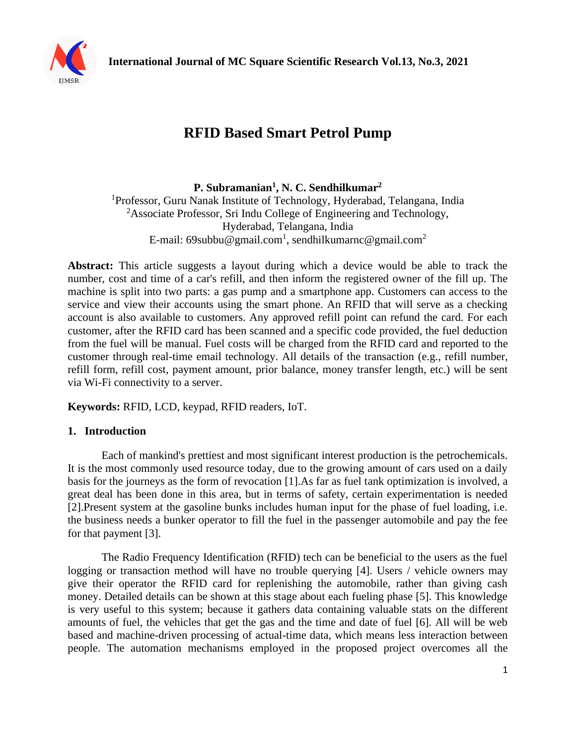

# **RFID Based Smart Petrol Pump**

**P. Subramanian<sup>1</sup> , N. C. Sendhilkumar<sup>2</sup>** <sup>1</sup>Professor, Guru Nanak Institute of Technology, Hyderabad, Telangana, India <sup>2</sup>Associate Professor, Sri Indu College of Engineering and Technology, Hyderabad, Telangana, India E-mail: 69subbu@gmail.com $^1$ , sendhilkumarnc@gmail.com $^2$ 

**Abstract:** This article suggests a layout during which a device would be able to track the number, cost and time of a car's refill, and then inform the registered owner of the fill up. The machine is split into two parts: a gas pump and a smartphone app. Customers can access to the service and view their accounts using the smart phone. An RFID that will serve as a checking account is also available to customers. Any approved refill point can refund the card. For each customer, after the RFID card has been scanned and a specific code provided, the fuel deduction from the fuel will be manual. Fuel costs will be charged from the RFID card and reported to the customer through real-time email technology. All details of the transaction (e.g., refill number, refill form, refill cost, payment amount, prior balance, money transfer length, etc.) will be sent via Wi-Fi connectivity to a server.

**Keywords:** RFID, LCD, keypad, RFID readers, IoT.

## **1. Introduction**

Each of mankind's prettiest and most significant interest production is the petrochemicals. It is the most commonly used resource today, due to the growing amount of cars used on a daily basis for the journeys as the form of revocation [1].As far as fuel tank optimization is involved, a great deal has been done in this area, but in terms of safety, certain experimentation is needed [2].Present system at the gasoline bunks includes human input for the phase of fuel loading, i.e. the business needs a bunker operator to fill the fuel in the passenger automobile and pay the fee for that payment [3].

The Radio Frequency Identification (RFID) tech can be beneficial to the users as the fuel logging or transaction method will have no trouble querying [4]. Users / vehicle owners may give their operator the RFID card for replenishing the automobile, rather than giving cash money. Detailed details can be shown at this stage about each fueling phase [5]. This knowledge is very useful to this system; because it gathers data containing valuable stats on the different amounts of fuel, the vehicles that get the gas and the time and date of fuel [6]. All will be web based and machine-driven processing of actual-time data, which means less interaction between people. The automation mechanisms employed in the proposed project overcomes all the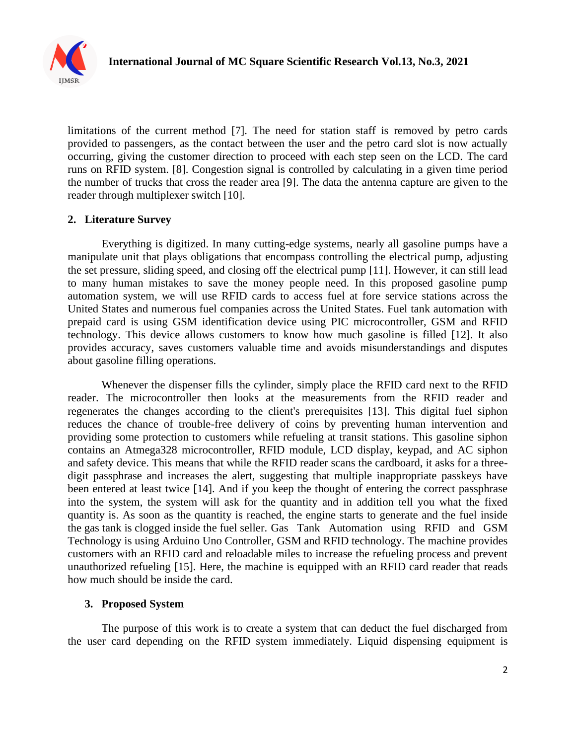

limitations of the current method [7]. The need for station staff is removed by petro cards provided to passengers, as the contact between the user and the petro card slot is now actually occurring, giving the customer direction to proceed with each step seen on the LCD. The card runs on RFID system. [8]. Congestion signal is controlled by calculating in a given time period the number of trucks that cross the reader area [9]. The data the antenna capture are given to the reader through multiplexer switch [10].

## **2. Literature Survey**

Everything is digitized. In many cutting-edge systems, nearly all gasoline pumps have a manipulate unit that plays obligations that encompass controlling the electrical pump, adjusting the set pressure, sliding speed, and closing off the electrical pump [11]. However, it can still lead to many human mistakes to save the money people need. In this proposed gasoline pump automation system, we will use RFID cards to access fuel at fore service stations across the United States and numerous fuel companies across the United States. Fuel tank automation with prepaid card is using GSM identification device using PIC microcontroller, GSM and RFID technology. This device allows customers to know how much gasoline is filled [12]. It also provides accuracy, saves customers valuable time and avoids misunderstandings and disputes about gasoline filling operations.

Whenever the dispenser fills the cylinder, simply place the RFID card next to the RFID reader. The microcontroller then looks at the measurements from the RFID reader and regenerates the changes according to the client's prerequisites [13]. This digital fuel siphon reduces the chance of trouble-free delivery of coins by preventing human intervention and providing some protection to customers while refueling at transit stations. This gasoline siphon contains an Atmega328 microcontroller, RFID module, LCD display, keypad, and AC siphon and safety device. This means that while the RFID reader scans the cardboard, it asks for a threedigit passphrase and increases the alert, suggesting that multiple inappropriate passkeys have been entered at least twice [14]. And if you keep the thought of entering the correct passphrase into the system, the system will ask for the quantity and in addition tell you what the fixed quantity is. As soon as the quantity is reached, the engine starts to generate and the fuel inside the gas tank is clogged inside the fuel seller. Gas Tank Automation using RFID and GSM Technology is using Arduino Uno Controller, GSM and RFID technology. The machine provides customers with an RFID card and reloadable miles to increase the refueling process and prevent unauthorized refueling [15]. Here, the machine is equipped with an RFID card reader that reads how much should be inside the card.

## **3. Proposed System**

The purpose of this work is to create a system that can deduct the fuel discharged from the user card depending on the RFID system immediately. Liquid dispensing equipment is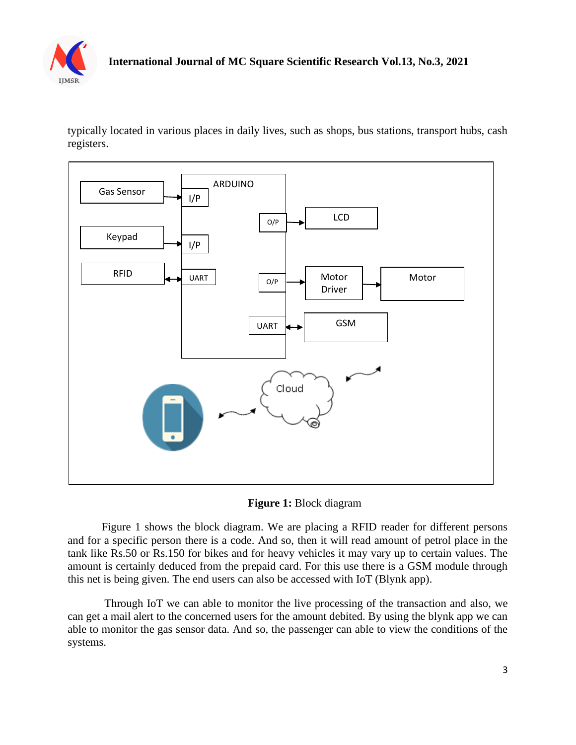

typically located in various places in daily lives, such as shops, bus stations, transport hubs, cash registers.



**Figure 1:** Block diagram

Figure 1 shows the block diagram. We are placing a RFID reader for different persons and for a specific person there is a code. And so, then it will read amount of petrol place in the tank like Rs.50 or Rs.150 for bikes and for heavy vehicles it may vary up to certain values. The amount is certainly deduced from the prepaid card. For this use there is a GSM module through this net is being given. The end users can also be accessed with IoT (Blynk app).

Through IoT we can able to monitor the live processing of the transaction and also, we can get a mail alert to the concerned users for the amount debited. By using the blynk app we can able to monitor the gas sensor data. And so, the passenger can able to view the conditions of the systems.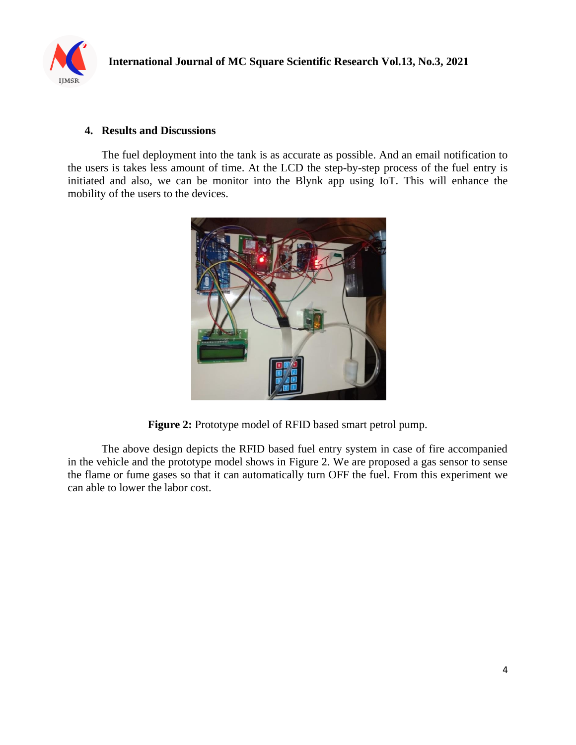

### **4. Results and Discussions**

The fuel deployment into the tank is as accurate as possible. And an email notification to the users is takes less amount of time. At the LCD the step-by-step process of the fuel entry is initiated and also, we can be monitor into the Blynk app using IoT. This will enhance the mobility of the users to the devices.



**Figure 2:** Prototype model of RFID based smart petrol pump.

The above design depicts the RFID based fuel entry system in case of fire accompanied in the vehicle and the prototype model shows in Figure 2. We are proposed a gas sensor to sense the flame or fume gases so that it can automatically turn OFF the fuel. From this experiment we can able to lower the labor cost.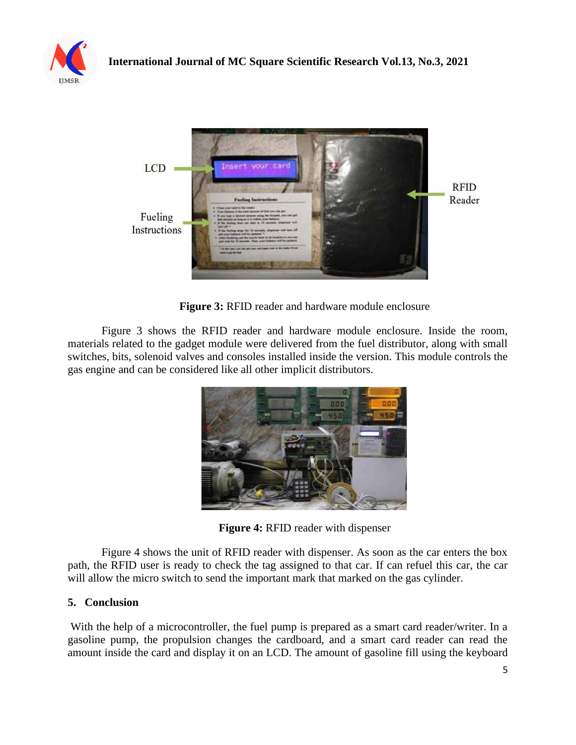



**Figure 3:** RFID reader and hardware module enclosure

Figure 3 shows the RFID reader and hardware module enclosure. Inside the room, materials related to the gadget module were delivered from the fuel distributor, along with small switches, bits, solenoid valves and consoles installed inside the version. This module controls the gas engine and can be considered like all other implicit distributors.



**Figure 4:** RFID reader with dispenser

Figure 4 shows the unit of RFID reader with dispenser. As soon as the car enters the box path, the RFID user is ready to check the tag assigned to that car. If can refuel this car, the car will allow the micro switch to send the important mark that marked on the gas cylinder.

## **5. Conclusion**

With the help of a microcontroller, the fuel pump is prepared as a smart card reader/writer. In a gasoline pump, the propulsion changes the cardboard, and a smart card reader can read the amount inside the card and display it on an LCD. The amount of gasoline fill using the keyboard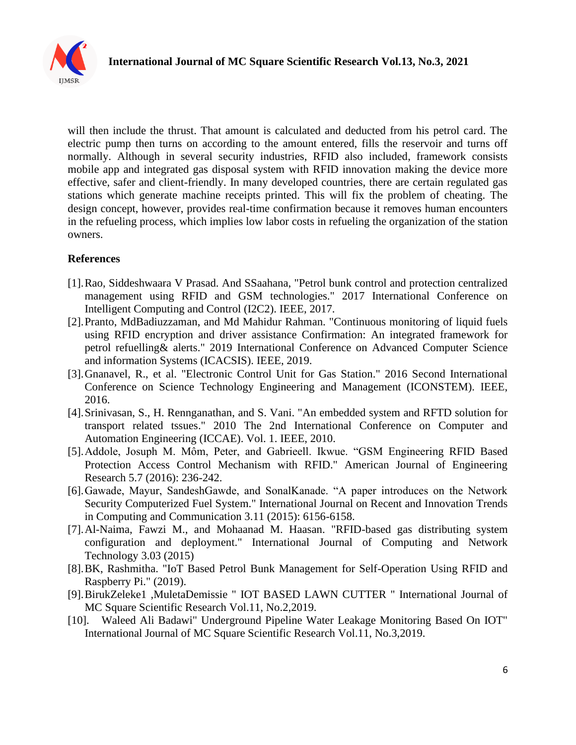

will then include the thrust. That amount is calculated and deducted from his petrol card. The electric pump then turns on according to the amount entered, fills the reservoir and turns off normally. Although in several security industries, RFID also included, framework consists mobile app and integrated gas disposal system with RFID innovation making the device more effective, safer and client-friendly. In many developed countries, there are certain regulated gas stations which generate machine receipts printed. This will fix the problem of cheating. The design concept, however, provides real-time confirmation because it removes human encounters in the refueling process, which implies low labor costs in refueling the organization of the station owners.

## **References**

- [1].Rao, Siddeshwaara V Prasad. And SSaahana, "Petrol bunk control and protection centralized management using RFID and GSM technologies." 2017 International Conference on Intelligent Computing and Control (I2C2). IEEE, 2017.
- [2].Pranto, MdBadiuzzaman, and Md Mahidur Rahman. "Continuous monitoring of liquid fuels using RFID encryption and driver assistance Confirmation: An integrated framework for petrol refuelling& alerts." 2019 International Conference on Advanced Computer Science and information Systems (ICACSIS). IEEE, 2019.
- [3].Gnanavel, R., et al. "Electronic Control Unit for Gas Station." 2016 Second International Conference on Science Technology Engineering and Management (ICONSTEM). IEEE, 2016.
- [4].Srinivasan, S., H. Rennganathan, and S. Vani. "An embedded system and RFTD solution for transport related tssues." 2010 The 2nd International Conference on Computer and Automation Engineering (ICCAE). Vol. 1. IEEE, 2010.
- [5].Addole, Josuph M. Môm, Peter, and Gabrieell. Ikwue. "GSM Engineering RFID Based Protection Access Control Mechanism with RFID." American Journal of Engineering Research 5.7 (2016): 236-242.
- [6].Gawade, Mayur, SandeshGawde, and SonalKanade. "A paper introduces on the Network Security Computerized Fuel System." International Journal on Recent and Innovation Trends in Computing and Communication 3.11 (2015): 6156-6158.
- [7].Al-Naima, Fawzi M., and Mohaanad M. Haasan. "RFID-based gas distributing system configuration and deployment." International Journal of Computing and Network Technology 3.03 (2015)
- [8].BK, Rashmitha. "IoT Based Petrol Bunk Management for Self-Operation Using RFID and Raspberry Pi." (2019).
- [9].BirukZeleke1 ,MuletaDemissie " IOT BASED LAWN CUTTER " International Journal of MC Square Scientific Research Vol.11, No.2,2019.
- [10]. Waleed Ali Badawi" Underground Pipeline Water Leakage Monitoring Based On IOT" International Journal of MC Square Scientific Research Vol.11, No.3,2019.